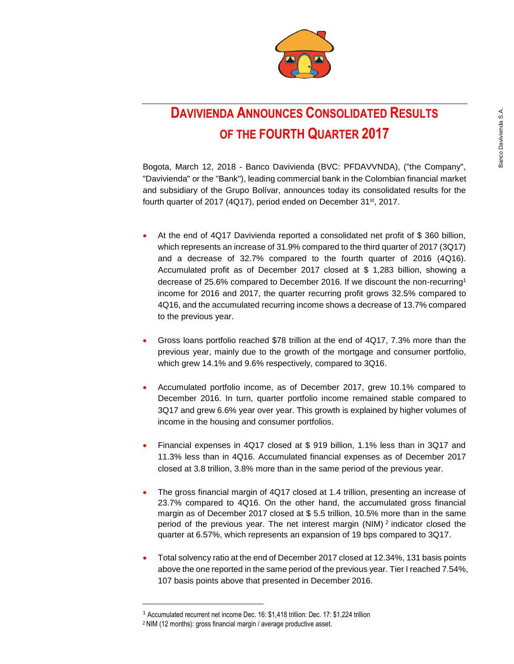

# **DAVIVIENDA ANNOUNCES CONSOLIDATED RESULTS OF THE FOURTH QUARTER 2017**

Bogota, March 12, 2018 - Banco Davivienda (BVC: PFDAVVNDA), ("the Company", "Davivienda" or the "Bank"), leading commercial bank in the Colombian financial market and subsidiary of the Grupo Bolívar, announces today its consolidated results for the fourth quarter of 2017 (4Q17), period ended on December 31<sup>st</sup>, 2017.

- At the end of 4Q17 Davivienda reported a consolidated net profit of \$ 360 billion, which represents an increase of 31.9% compared to the third quarter of 2017 (3Q17) and a decrease of 32.7% compared to the fourth quarter of 2016 (4Q16). Accumulated profit as of December 2017 closed at \$ 1,283 billion, showing a decrease of 25.6% compared to December 2016. If we discount the non-recurring<sup>1</sup> income for 2016 and 2017, the quarter recurring profit grows 32.5% compared to 4Q16, and the accumulated recurring income shows a decrease of 13.7% compared to the previous year. **DAVIVIENDA ANNOUNCES CONSOLIDATED RESULTS**<br> **20**<br>
Begates, March 12, 2012 - Benno Davivienda (BVC: PFDAVIVIAN), (the Company).<br>
Towishedro' the float V, leading commetical bank in the Colombia franchiese of the float wit
- Gross loans portfolio reached \$78 trillion at the end of 4Q17, 7.3% more than the previous year, mainly due to the growth of the mortgage and consumer portfolio, which grew 14.1% and 9.6% respectively, compared to 3Q16.
- Accumulated portfolio income, as of December 2017, grew 10.1% compared to December 2016. In turn, quarter portfolio income remained stable compared to 3Q17 and grew 6.6% year over year. This growth is explained by higher volumes of income in the housing and consumer portfolios.
- Financial expenses in 4Q17 closed at \$ 919 billion, 1.1% less than in 3Q17 and 11.3% less than in 4Q16. Accumulated financial expenses as of December 2017 closed at 3.8 trillion, 3.8% more than in the same period of the previous year.
- The gross financial margin of 4Q17 closed at 1.4 trillion, presenting an increase of 23.7% compared to 4Q16. On the other hand, the accumulated gross financial margin as of December 2017 closed at \$ 5.5 trillion, 10.5% more than in the same period of the previous year. The net interest margin  $(NIM)^2$  indicator closed the quarter at 6.57%, which represents an expansion of 19 bps compared to 3Q17.
- Total solvency ratio at the end of December 2017 closed at 12.34%, 131 basis points above the one reported in the same period of the previous year. Tier I reached 7.54%, 107 basis points above that presented in December 2016.

 $\overline{a}$ 

<sup>1</sup> Accumulated recurrent net income Dec. 16: \$1,418 trillion: Dec. 17: \$1,224 trillion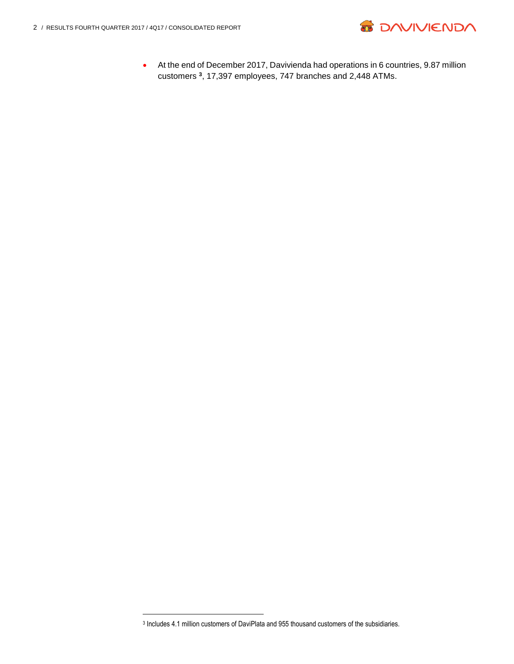$\overline{a}$ 



 At the end of December 2017, Davivienda had operations in 6 countries, 9.87 million customers **<sup>3</sup>** , 17,397 employees, 747 branches and 2,448 ATMs.

<sup>3</sup> Includes 4.1 million customers of DaviPlata and 955 thousand customers of the subsidiaries.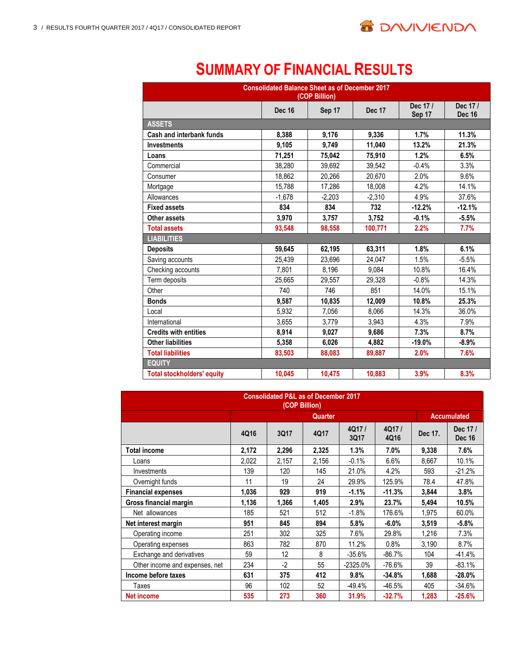

# **SUMMARY OF FINANCIAL RESULTS**

| <b>Consolidated Balance Sheet as of December 2017</b><br>(COP Billion) |               |          |               |                   |                          |  |  |  |  |  |
|------------------------------------------------------------------------|---------------|----------|---------------|-------------------|--------------------------|--|--|--|--|--|
|                                                                        | <b>Dec 16</b> | Sep 17   | <b>Dec 17</b> | Dec 17/<br>Sep 17 | Dec 17/<br><b>Dec 16</b> |  |  |  |  |  |
| <b>ASSETS</b>                                                          |               |          |               |                   |                          |  |  |  |  |  |
| Cash and interbank funds                                               | 8,388         | 9.176    | 9.336         | 1.7%              | 11.3%                    |  |  |  |  |  |
| <b>Investments</b>                                                     | 9.105         | 9.749    | 11.040        | 13.2%             | 21.3%                    |  |  |  |  |  |
| Loans                                                                  | 71,251        | 75,042   | 75.910        | 1.2%              | 6.5%                     |  |  |  |  |  |
| Commercial                                                             | 38.280        | 39.692   | 39.542        | $-0.4%$           | 3.3%                     |  |  |  |  |  |
| Consumer                                                               | 18.862        | 20,266   | 20.670        | 2.0%              | 9.6%                     |  |  |  |  |  |
| Mortgage                                                               | 15.788        | 17.286   | 18.008        | 4.2%              | 14.1%                    |  |  |  |  |  |
| Allowances                                                             | $-1,678$      | $-2,203$ | $-2,310$      | 4.9%              | 37.6%                    |  |  |  |  |  |
| <b>Fixed assets</b>                                                    | 834           | 834      | 732           | $-12.2%$          | $-12.1%$                 |  |  |  |  |  |
| Other assets                                                           | 3,970         | 3,757    | 3,752         | $-0.1%$           | $-5.5%$                  |  |  |  |  |  |
| <b>Total assets</b>                                                    | 93,548        | 98,558   | 100,771       | 2.2%              | 7.7%                     |  |  |  |  |  |
| <b>LIABILITIES</b>                                                     |               |          |               |                   |                          |  |  |  |  |  |
| <b>Deposits</b>                                                        | 59,645        | 62,195   | 63,311        | 1.8%              | 6.1%                     |  |  |  |  |  |
| Saving accounts                                                        | 25,439        | 23,696   | 24,047        | 1.5%              | $-5.5%$                  |  |  |  |  |  |
| Checking accounts                                                      | 7.801         | 8.196    | 9.084         | 10.8%             | 16.4%                    |  |  |  |  |  |
| Term deposits                                                          | 25,665        | 29.557   | 29,328        | $-0.8%$           | 14.3%                    |  |  |  |  |  |
| Other                                                                  | 740           | 746      | 851           | 14.0%             | 15.1%                    |  |  |  |  |  |
| <b>Bonds</b>                                                           | 9,587         | 10.835   | 12,009        | 10.8%             | 25.3%                    |  |  |  |  |  |
| Local                                                                  | 5.932         | 7.056    | 8,066         | 14.3%             | 36.0%                    |  |  |  |  |  |
| International                                                          | 3,655         | 3,779    | 3,943         | 4.3%              | 7.9%                     |  |  |  |  |  |
| <b>Credits with entities</b>                                           | 8,914         | 9.027    | 9,686         | 7.3%              | 8.7%                     |  |  |  |  |  |
| <b>Other liabilities</b>                                               | 5,358         | 6,026    | 4,882         | $-19.0%$          | $-8.9%$                  |  |  |  |  |  |
| <b>Total liabilities</b>                                               | 83,503        | 88,083   | 89,887        | 2.0%              | 7.6%                     |  |  |  |  |  |
| <b>EQUITY</b>                                                          |               |          |               |                   |                          |  |  |  |  |  |
| <b>Total stockholders' equity</b>                                      | 10,045        | 10,475   | 10,883        | 3.9%              | 8.3%                     |  |  |  |  |  |

| <b>Consolidated P&amp;L as of December 2017</b><br>(COP Billion) |       |       |         |               |               |         |                          |  |  |
|------------------------------------------------------------------|-------|-------|---------|---------------|---------------|---------|--------------------------|--|--|
|                                                                  |       |       | Quarter |               |               |         | <b>Accumulated</b>       |  |  |
|                                                                  | 4Q16  | 3Q17  | 4Q17    | 4Q17/<br>3Q17 | 4Q17/<br>4Q16 | Dec 17. | Dec 17/<br><b>Dec 16</b> |  |  |
| <b>Total income</b>                                              | 2,172 | 2,296 | 2,325   | 1.3%          | 7.0%          | 9,338   | 7.6%                     |  |  |
| Loans                                                            | 2,022 | 2,157 | 2,156   | $-0.1%$       | 6.6%          | 8.667   | 10.1%                    |  |  |
| Investments                                                      | 139   | 120   | 145     | 21.0%         | 4.2%          | 593     | $-21.2%$                 |  |  |
| Overnight funds                                                  | 11    | 19    | 24      | 29.9%         | 125.9%        | 78.4    | 47.8%                    |  |  |
| <b>Financial expenses</b>                                        | 1,036 | 929   | 919     | $-1.1%$       | -11.3%        | 3,844   | 3.8%                     |  |  |
| Gross financial margin                                           | 1,136 | 1,366 | 1,405   | 2.9%          | 23.7%         | 5,494   | 10.5%                    |  |  |
| Net allowances                                                   | 185   | 521   | 512     | $-1.8%$       | 176.6%        | 1,975   | 60.0%                    |  |  |
| Net interest margin                                              | 951   | 845   | 894     | 5.8%          | $-6.0%$       | 3,519   | $-5.8%$                  |  |  |
| Operating income                                                 | 251   | 302   | 325     | 7.6%          | 29.8%         | 1,216   | 7.3%                     |  |  |
| Operating expenses                                               | 863   | 782   | 870     | 11.2%         | 0.8%          | 3,190   | 8.7%                     |  |  |
| Exchange and derivatives                                         | 59    | 12    | 8       | $-35.6%$      | -86.7%        | 104     | $-41.4%$                 |  |  |
| Other income and expenses, net                                   | 234   | $-2$  | 55      | $-2325.0%$    | $-76.6%$      | 39      | $-83.1%$                 |  |  |
| Income before taxes                                              | 631   | 375   | 412     | 9.8%          | -34.8%        | 1.688   | $-28.0%$                 |  |  |
| Taxes                                                            | 96    | 102   | 52      | $-49.4%$      | $-46.5%$      | 405     | $-34.6%$                 |  |  |
| <b>Net income</b>                                                | 535   | 273   | 360     | 31.9%         | $-32.7%$      | 1,283   | $-25.6%$                 |  |  |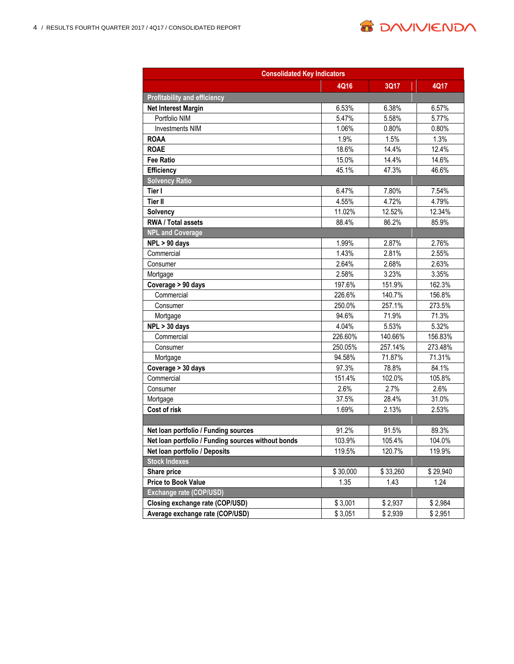

| <b>Consolidated Key Indicators</b>                 |          |          |          |  |  |  |  |  |
|----------------------------------------------------|----------|----------|----------|--|--|--|--|--|
|                                                    | 4Q16     | 3Q17     | 4Q17     |  |  |  |  |  |
| <b>Profitability and efficiency</b>                |          |          |          |  |  |  |  |  |
| <b>Net Interest Margin</b>                         | 6.53%    | 6.38%    | 6.57%    |  |  |  |  |  |
| Portfolio NIM                                      | 5.47%    | 5.58%    | 5.77%    |  |  |  |  |  |
| <b>Investments NIM</b>                             | 1.06%    | 0.80%    | 0.80%    |  |  |  |  |  |
| <b>ROAA</b>                                        | 1.9%     | 1.5%     | 1.3%     |  |  |  |  |  |
| <b>ROAE</b>                                        | 18.6%    | 14.4%    | 12.4%    |  |  |  |  |  |
| <b>Fee Ratio</b>                                   | 15.0%    | 14.4%    | 14.6%    |  |  |  |  |  |
| Efficiency                                         | 45.1%    | 47.3%    | 46.6%    |  |  |  |  |  |
| <b>Solvency Ratio</b>                              |          |          |          |  |  |  |  |  |
| Tier I                                             | 6.47%    | 7.80%    | 7.54%    |  |  |  |  |  |
| <b>Tier II</b>                                     | 4.55%    | 4.72%    | 4.79%    |  |  |  |  |  |
| Solvency                                           | 11.02%   | 12.52%   | 12.34%   |  |  |  |  |  |
| RWA / Total assets                                 | 88.4%    | 86.2%    | 85.9%    |  |  |  |  |  |
| <b>NPL and Coverage</b>                            |          |          |          |  |  |  |  |  |
| $NPL > 90$ days                                    | 1.99%    | 2.87%    | 2.76%    |  |  |  |  |  |
| Commercial                                         | 1.43%    | 2.81%    | 2.55%    |  |  |  |  |  |
| Consumer                                           | 2.64%    | 2.68%    | 2.63%    |  |  |  |  |  |
| Mortgage                                           | 2.58%    | 3.23%    | 3.35%    |  |  |  |  |  |
| Coverage > 90 days                                 | 197.6%   | 151.9%   | 162.3%   |  |  |  |  |  |
| Commercial                                         | 226.6%   | 140.7%   | 156.8%   |  |  |  |  |  |
| Consumer                                           | 250.0%   | 257.1%   | 273.5%   |  |  |  |  |  |
| Mortgage                                           | 94.6%    | 71.9%    | 71.3%    |  |  |  |  |  |
| $NPL > 30$ days                                    | 4.04%    | 5.53%    | 5.32%    |  |  |  |  |  |
| Commercial                                         | 226.60%  | 140.66%  | 156.83%  |  |  |  |  |  |
| Consumer                                           | 250.05%  | 257.14%  | 273.48%  |  |  |  |  |  |
| Mortgage                                           | 94.58%   | 71.87%   | 71.31%   |  |  |  |  |  |
| Coverage > 30 days                                 | 97.3%    | 78.8%    | 84.1%    |  |  |  |  |  |
| Commercial                                         | 151.4%   | 102.0%   | 105.8%   |  |  |  |  |  |
| Consumer                                           | 2.6%     | 2.7%     | 2.6%     |  |  |  |  |  |
| Mortgage                                           | 37.5%    | 28.4%    | 31.0%    |  |  |  |  |  |
| Cost of risk                                       | 1.69%    | 2.13%    | 2.53%    |  |  |  |  |  |
|                                                    |          |          |          |  |  |  |  |  |
| Net loan portfolio / Funding sources               | 91.2%    | 91.5%    | 89.3%    |  |  |  |  |  |
| Net loan portfolio / Funding sources without bonds | 103.9%   | 105.4%   | 104.0%   |  |  |  |  |  |
| Net loan portfolio / Deposits                      | 119.5%   | 120.7%   | 119.9%   |  |  |  |  |  |
| <b>Stock Indexes</b>                               |          |          |          |  |  |  |  |  |
| Share price                                        | \$30,000 | \$33,260 | \$29,940 |  |  |  |  |  |
| <b>Price to Book Value</b>                         | 1.35     | 1.43     | 1.24     |  |  |  |  |  |
| Exchange rate (COP/USD)                            |          |          |          |  |  |  |  |  |
| Closing exchange rate (COP/USD)                    | \$3,001  | \$2,937  | \$2,984  |  |  |  |  |  |
| Average exchange rate (COP/USD)                    | \$3,051  | \$2,939  | \$2,951  |  |  |  |  |  |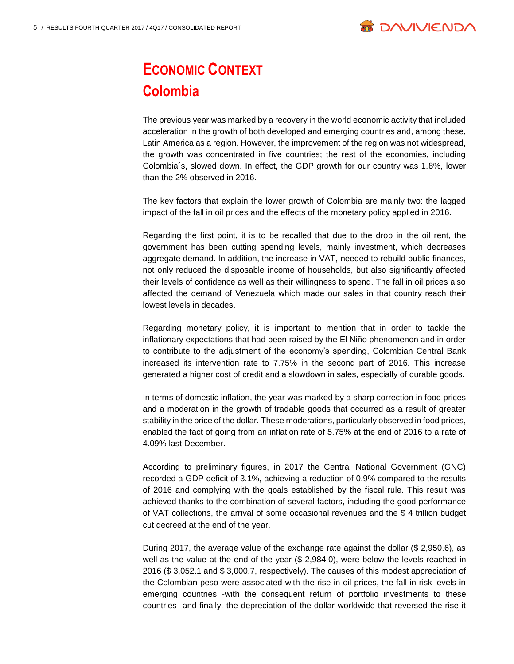

# **ECONOMIC CONTEXT Colombia**

The previous year was marked by a recovery in the world economic activity that included acceleration in the growth of both developed and emerging countries and, among these, Latin America as a region. However, the improvement of the region was not widespread, the growth was concentrated in five countries; the rest of the economies, including Colombia´s, slowed down. In effect, the GDP growth for our country was 1.8%, lower than the 2% observed in 2016.

The key factors that explain the lower growth of Colombia are mainly two: the lagged impact of the fall in oil prices and the effects of the monetary policy applied in 2016.

Regarding the first point, it is to be recalled that due to the drop in the oil rent, the government has been cutting spending levels, mainly investment, which decreases aggregate demand. In addition, the increase in VAT, needed to rebuild public finances, not only reduced the disposable income of households, but also significantly affected their levels of confidence as well as their willingness to spend. The fall in oil prices also affected the demand of Venezuela which made our sales in that country reach their lowest levels in decades.

Regarding monetary policy, it is important to mention that in order to tackle the inflationary expectations that had been raised by the El Niño phenomenon and in order to contribute to the adjustment of the economy's spending, Colombian Central Bank increased its intervention rate to 7.75% in the second part of 2016. This increase generated a higher cost of credit and a slowdown in sales, especially of durable goods.

In terms of domestic inflation, the year was marked by a sharp correction in food prices and a moderation in the growth of tradable goods that occurred as a result of greater stability in the price of the dollar. These moderations, particularly observed in food prices, enabled the fact of going from an inflation rate of 5.75% at the end of 2016 to a rate of 4.09% last December.

According to preliminary figures, in 2017 the Central National Government (GNC) recorded a GDP deficit of 3.1%, achieving a reduction of 0.9% compared to the results of 2016 and complying with the goals established by the fiscal rule. This result was achieved thanks to the combination of several factors, including the good performance of VAT collections, the arrival of some occasional revenues and the \$ 4 trillion budget cut decreed at the end of the year.

During 2017, the average value of the exchange rate against the dollar (\$ 2,950.6), as well as the value at the end of the year (\$ 2,984.0), were below the levels reached in 2016 (\$ 3,052.1 and \$ 3,000.7, respectively). The causes of this modest appreciation of the Colombian peso were associated with the rise in oil prices, the fall in risk levels in emerging countries -with the consequent return of portfolio investments to these countries- and finally, the depreciation of the dollar worldwide that reversed the rise it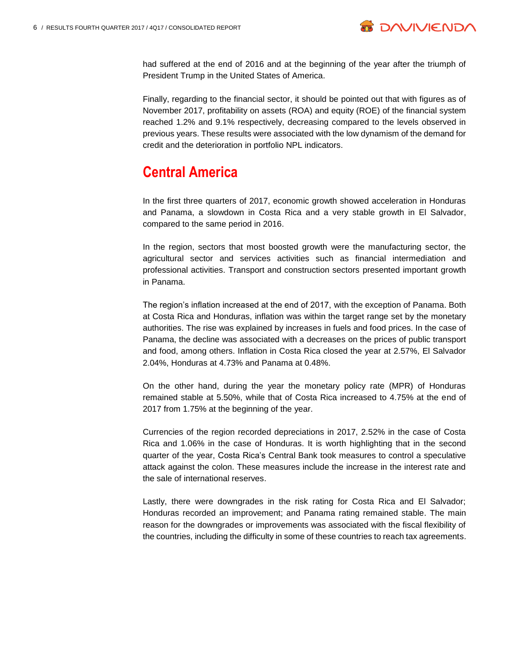

had suffered at the end of 2016 and at the beginning of the year after the triumph of President Trump in the United States of America.

Finally, regarding to the financial sector, it should be pointed out that with figures as of November 2017, profitability on assets (ROA) and equity (ROE) of the financial system reached 1.2% and 9.1% respectively, decreasing compared to the levels observed in previous years. These results were associated with the low dynamism of the demand for credit and the deterioration in portfolio NPL indicators.

# **Central America**

In the first three quarters of 2017, economic growth showed acceleration in Honduras and Panama, a slowdown in Costa Rica and a very stable growth in El Salvador, compared to the same period in 2016.

In the region, sectors that most boosted growth were the manufacturing sector, the agricultural sector and services activities such as financial intermediation and professional activities. Transport and construction sectors presented important growth in Panama.

The region's inflation increased at the end of 2017, with the exception of Panama. Both at Costa Rica and Honduras, inflation was within the target range set by the monetary authorities. The rise was explained by increases in fuels and food prices. In the case of Panama, the decline was associated with a decreases on the prices of public transport and food, among others. Inflation in Costa Rica closed the year at 2.57%, El Salvador 2.04%, Honduras at 4.73% and Panama at 0.48%.

On the other hand, during the year the monetary policy rate (MPR) of Honduras remained stable at 5.50%, while that of Costa Rica increased to 4.75% at the end of 2017 from 1.75% at the beginning of the year.

Currencies of the region recorded depreciations in 2017, 2.52% in the case of Costa Rica and 1.06% in the case of Honduras. It is worth highlighting that in the second quarter of the year, Costa Rica's Central Bank took measures to control a speculative attack against the colon. These measures include the increase in the interest rate and the sale of international reserves.

Lastly, there were downgrades in the risk rating for Costa Rica and El Salvador; Honduras recorded an improvement; and Panama rating remained stable. The main reason for the downgrades or improvements was associated with the fiscal flexibility of the countries, including the difficulty in some of these countries to reach tax agreements.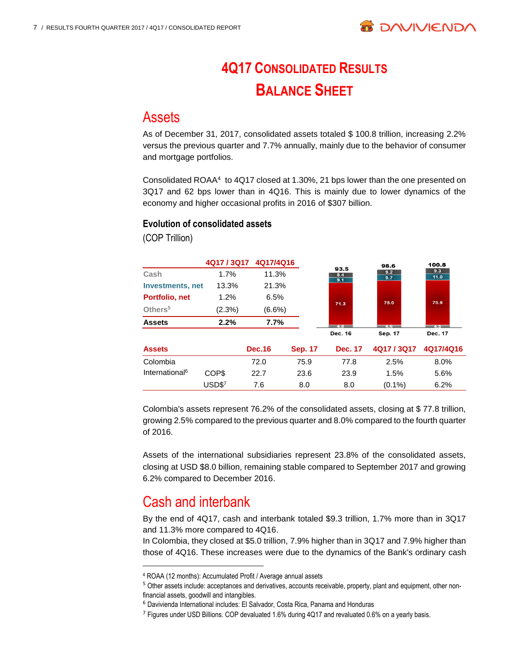

# **4Q17 CONSOLIDATED RESULTS BALANCE SHEET**

### **Assets**

As of December 31, 2017, consolidated assets totaled \$ 100.8 trillion, increasing 2.2% versus the previous quarter and 7.7% annually, mainly due to the behavior of consumer and mortgage portfolios.

Consolidated ROAA<sup>4</sup> to 4Q17 closed at 1.30%, 21 bps lower than the one presented on 3Q17 and 62 bps lower than in 4Q16. This is mainly due to lower dynamics of the economy and higher occasional profits in 2016 of \$307 billion.

#### **Evolution of consolidated assets**

(COP Trillion)

|                            | 4Q17/3Q17 | 4Q17/4Q16     |                |                    | 98.6           | 100.8       |
|----------------------------|-----------|---------------|----------------|--------------------|----------------|-------------|
| Cash                       | 1.7%      | 11.3%         |                | 93.5<br>8.4<br>9.1 | 9.2<br>9.7     | 9.3<br>11.0 |
| <b>Investments, net</b>    | 13.3%     | 21.3%         |                |                    |                |             |
| Portfolio, net             | 1.2%      | 6.5%          |                |                    | 75.0           | 75.9        |
| Others <sup>5</sup>        | (2.3%)    | $(6.6\%)$     |                | 71.3               |                |             |
| <b>Assets</b>              | 2.2%      | 7.7%          |                | $\overline{AB}$    | 46             | 7.5         |
|                            |           |               |                | Dec. 16            | <b>Sep. 17</b> | Dec. 17     |
| <b>Assets</b>              |           | <b>Dec.16</b> | <b>Sep. 17</b> | <b>Dec. 17</b>     | 4Q17 / 3Q17    | 4Q17/4Q16   |
| Colombia                   |           | 72.0          | 75.9           | 77.8               | 2.5%           | 8.0%        |
| International <sup>6</sup> | COP\$     | 22.7          | 23.6           | 23.9               | 1.5%           | 5.6%        |
|                            | USD\$7    | 7.6           | 8.0            | 8.0                | $(0.1\%)$      | 6.2%        |

Colombia's assets represent 76.2% of the consolidated assets, closing at \$ 77.8 trillion, growing 2.5% compared to the previous quarter and 8.0% compared to the fourth quarter of 2016.

Assets of the international subsidiaries represent 23.8% of the consolidated assets, closing at USD \$8.0 billion, remaining stable compared to September 2017 and growing 6.2% compared to December 2016.

# Cash and interbank

l

By the end of 4Q17, cash and interbank totaled \$9.3 trillion, 1.7% more than in 3Q17 and 11.3% more compared to 4Q16.

In Colombia, they closed at \$5.0 trillion, 7.9% higher than in 3Q17 and 7.9% higher than those of 4Q16. These increases were due to the dynamics of the Bank's ordinary cash

<sup>4</sup> ROAA (12 months): Accumulated Profit / Average annual assets

<sup>5</sup> Other assets include: acceptances and derivatives, accounts receivable, property, plant and equipment, other nonfinancial assets, goodwill and intangibles.

<sup>6</sup> Davivienda International includes: El Salvador, Costa Rica, Panama and Honduras

<sup>&</sup>lt;sup>7</sup> Figures under USD Billions. COP devaluated 1.6% during 4Q17 and revaluated 0.6% on a yearly basis.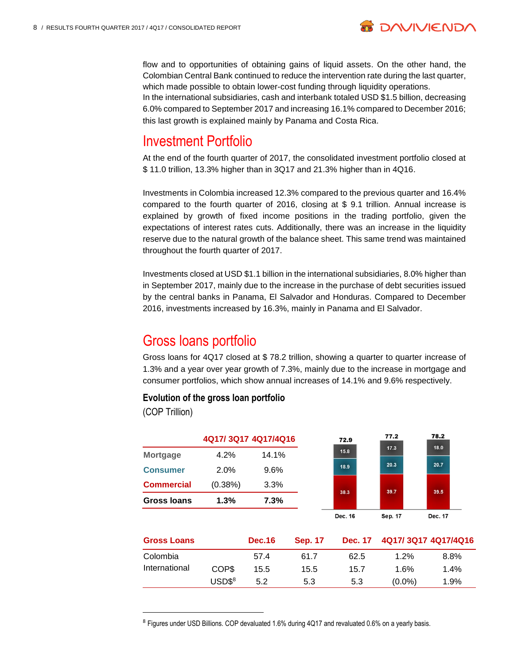

flow and to opportunities of obtaining gains of liquid assets. On the other hand, the Colombian Central Bank continued to reduce the intervention rate during the last quarter, which made possible to obtain lower-cost funding through liquidity operations. In the international subsidiaries, cash and interbank totaled USD \$1.5 billion, decreasing 6.0% compared to September 2017 and increasing 16.1% compared to December 2016; this last growth is explained mainly by Panama and Costa Rica.

### Investment Portfolio

At the end of the fourth quarter of 2017, the consolidated investment portfolio closed at \$ 11.0 trillion, 13.3% higher than in 3Q17 and 21.3% higher than in 4Q16.

Investments in Colombia increased 12.3% compared to the previous quarter and 16.4% compared to the fourth quarter of 2016, closing at \$ 9.1 trillion. Annual increase is explained by growth of fixed income positions in the trading portfolio, given the expectations of interest rates cuts. Additionally, there was an increase in the liquidity reserve due to the natural growth of the balance sheet. This same trend was maintained throughout the fourth quarter of 2017.

Investments closed at USD \$1.1 billion in the international subsidiaries, 8.0% higher than in September 2017, mainly due to the increase in the purchase of debt securities issued by the central banks in Panama, El Salvador and Honduras. Compared to December 2016, investments increased by 16.3%, mainly in Panama and El Salvador.

# Gross loans portfolio

Gross loans for 4Q17 closed at \$ 78.2 trillion, showing a quarter to quarter increase of 1.3% and a year over year growth of 7.3%, mainly due to the increase in mortgage and consumer portfolios, which show annual increases of 14.1% and 9.6% respectively.

#### **Evolution of the gross loan portfolio**

(COP Trillion)

|                    |         | 4Q17/3Q17 4Q17/4Q16 |                | 72.9           | 77.2    | 78.2                |
|--------------------|---------|---------------------|----------------|----------------|---------|---------------------|
| <b>Mortgage</b>    | 4.2%    | 14.1%               |                | 15.8           | 17.3    | 18.0                |
| <b>Consumer</b>    | 2.0%    | 9.6%                |                | 18.9           | 20.3    | 20.7                |
| <b>Commercial</b>  | (0.38%) | 3.3%                |                | 38.3           | 39.7    | 39.5                |
| Gross Ioans        | 1.3%    | 7.3%                |                |                |         |                     |
|                    |         |                     |                | Dec. 16        | Sep. 17 | Dec. 17             |
| <b>Gross Loans</b> |         | <b>Dec.16</b>       | <b>Sep. 17</b> | <b>Dec. 17</b> |         | 4Q17/3Q17 4Q17/4Q16 |
| Colombia           |         | 57.4                | 61.7           | 62.5           | 1.2%    | 8.8%                |
| International      | COP\$   | 15.5                | 15.5           | 15.7           | 1.6%    | 1.4%                |

 $\text{USD\$}^8$  5.2 5.3 5.3 (0.0%) 1.9%

l <sup>8</sup> Figures under USD Billions. COP devaluated 1.6% during 4Q17 and revaluated 0.6% on a yearly basis.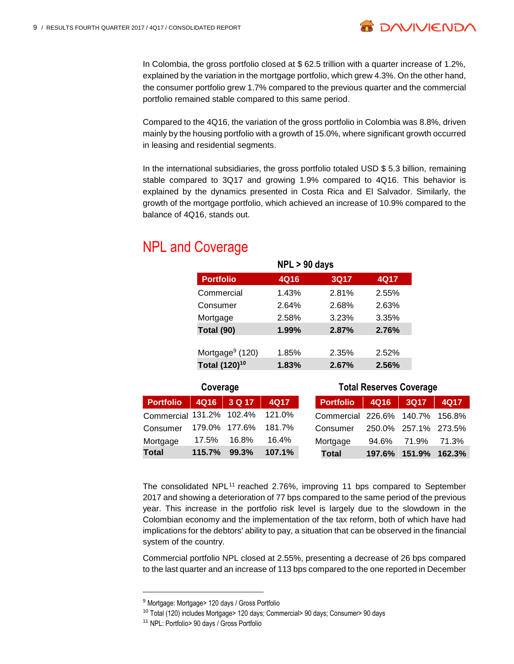

**B DAVIVIEND** 

Compared to the 4Q16, the variation of the gross portfolio in Colombia was 8.8%, driven mainly by the housing portfolio with a growth of 15.0%, where significant growth occurred in leasing and residential segments.

In the international subsidiaries, the gross portfolio totaled USD \$ 5.3 billion, remaining stable compared to 3Q17 and growing 1.9% compared to 4Q16. This behavior is explained by the dynamics presented in Costa Rica and El Salvador. Similarly, the growth of the mortgage portfolio, which achieved an increase of 10.9% compared to the balance of 4Q16, stands out.

# NPL and Coverage

| $NPL > 90$ days           |       |       |       |  |  |  |  |
|---------------------------|-------|-------|-------|--|--|--|--|
| <b>Portfolio</b>          | 4Q16  | 3Q17  | 4Q17  |  |  |  |  |
| Commercial                | 1.43% | 2.81% | 2.55% |  |  |  |  |
| Consumer                  | 2.64% | 2.68% | 2.63% |  |  |  |  |
| Mortgage                  | 2.58% | 3.23% | 3.35% |  |  |  |  |
| Total (90)                | 1.99% | 2.87% | 2.76% |  |  |  |  |
|                           |       |       |       |  |  |  |  |
| Mortgage $9(120)$         | 1.85% | 2.35% | 2.52% |  |  |  |  |
| Total (120) <sup>10</sup> | 1.83% | 2.67% | 2.56% |  |  |  |  |

| Coverage                        |        |               |             | <b>Total Reserves Coverage</b> |                                 |        |                      |        |  |
|---------------------------------|--------|---------------|-------------|--------------------------------|---------------------------------|--------|----------------------|--------|--|
| <b>Portfolio</b>                | 4Q16   | 3 Q 17        | <b>4Q17</b> |                                | <b>Portfolio</b>                | 4Q16   | 3Q17                 | 4Q17   |  |
| Commercial 131.2% 102.4% 121.0% |        |               |             |                                | Commercial 226.6% 140.7% 156.8% |        |                      |        |  |
| Consumer                        |        | 179.0% 177.6% | 181.7%      |                                | Consumer                        |        | 250.0% 257.1% 273.5% |        |  |
| Mortgage                        | 17.5%  | 16.8%         | 16.4%       |                                | Mortgage                        | 94.6%  | 71.9%                | 71.3%  |  |
| <b>Total</b>                    | 115.7% | 99.3%         | 107.1%      |                                | <b>Total</b>                    | 197.6% | 151.9%               | 162.3% |  |

The consolidated NPL<sup>11</sup> reached 2.76%, improving 11 bps compared to September 2017 and showing a deterioration of 77 bps compared to the same period of the previous year. This increase in the portfolio risk level is largely due to the slowdown in the Colombian economy and the implementation of the tax reform, both of which have had implications for the debtors' ability to pay, a situation that can be observed in the financial system of the country.

Commercial portfolio NPL closed at 2.55%, presenting a decrease of 26 bps compared to the last quarter and an increase of 113 bps compared to the one reported in December

 $\overline{a}$ 

<sup>&</sup>lt;sup>9</sup> Mortgage: Mortgage> 120 days / Gross Portfolio

<sup>10</sup> Total (120) includes Mortgage> 120 days; Commercial> 90 days; Consumer> 90 days

<sup>11</sup> NPL: Portfolio> 90 days / Gross Portfolio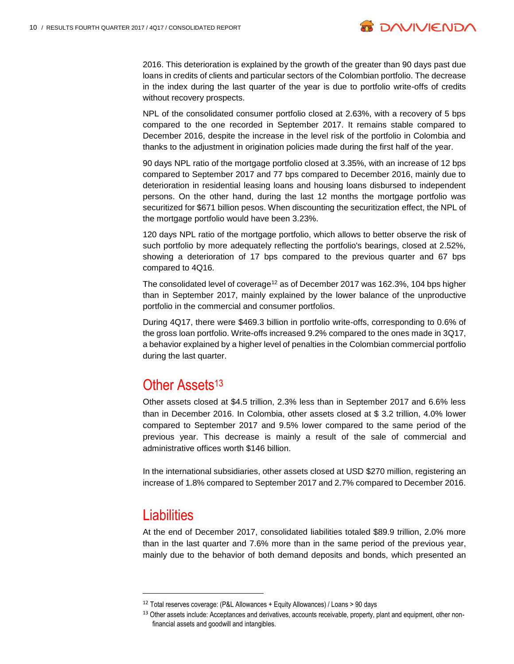

2016. This deterioration is explained by the growth of the greater than 90 days past due loans in credits of clients and particular sectors of the Colombian portfolio. The decrease in the index during the last quarter of the year is due to portfolio write-offs of credits without recovery prospects.

NPL of the consolidated consumer portfolio closed at 2.63%, with a recovery of 5 bps compared to the one recorded in September 2017. It remains stable compared to December 2016, despite the increase in the level risk of the portfolio in Colombia and thanks to the adjustment in origination policies made during the first half of the year.

90 days NPL ratio of the mortgage portfolio closed at 3.35%, with an increase of 12 bps compared to September 2017 and 77 bps compared to December 2016, mainly due to deterioration in residential leasing loans and housing loans disbursed to independent persons. On the other hand, during the last 12 months the mortgage portfolio was securitized for \$671 billion pesos. When discounting the securitization effect, the NPL of the mortgage portfolio would have been 3.23%.

120 days NPL ratio of the mortgage portfolio, which allows to better observe the risk of such portfolio by more adequately reflecting the portfolio's bearings, closed at 2.52%, showing a deterioration of 17 bps compared to the previous quarter and 67 bps compared to 4Q16.

The consolidated level of coverage<sup>12</sup> as of December 2017 was 162.3%, 104 bps higher than in September 2017, mainly explained by the lower balance of the unproductive portfolio in the commercial and consumer portfolios.

During 4Q17, there were \$469.3 billion in portfolio write-offs, corresponding to 0.6% of the gross loan portfolio. Write-offs increased 9.2% compared to the ones made in 3Q17, a behavior explained by a higher level of penalties in the Colombian commercial portfolio during the last quarter.

### Other Assets<sup>13</sup>

Other assets closed at \$4.5 trillion, 2.3% less than in September 2017 and 6.6% less than in December 2016. In Colombia, other assets closed at \$ 3.2 trillion, 4.0% lower compared to September 2017 and 9.5% lower compared to the same period of the previous year. This decrease is mainly a result of the sale of commercial and administrative offices worth \$146 billion.

In the international subsidiaries, other assets closed at USD \$270 million, registering an increase of 1.8% compared to September 2017 and 2.7% compared to December 2016.

## **Liabilities**

l

At the end of December 2017, consolidated liabilities totaled \$89.9 trillion, 2.0% more than in the last quarter and 7.6% more than in the same period of the previous year, mainly due to the behavior of both demand deposits and bonds, which presented an

<sup>12</sup> Total reserves coverage: (P&L Allowances + Equity Allowances) / Loans > 90 days

<sup>13</sup> Other assets include: Acceptances and derivatives, accounts receivable, property, plant and equipment, other nonfinancial assets and goodwill and intangibles.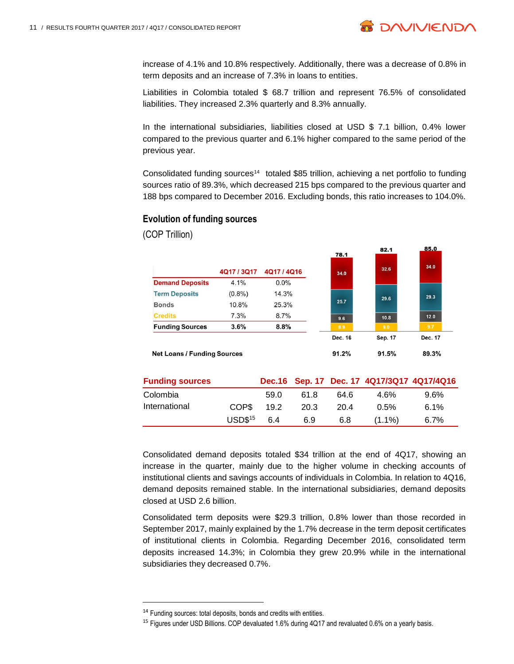

85.0

82.1

increase of 4.1% and 10.8% respectively. Additionally, there was a decrease of 0.8% in term deposits and an increase of 7.3% in loans to entities.

Liabilities in Colombia totaled \$ 68.7 trillion and represent 76.5% of consolidated liabilities. They increased 2.3% quarterly and 8.3% annually.

In the international subsidiaries, liabilities closed at USD \$ 7.1 billion, 0.4% lower compared to the previous quarter and 6.1% higher compared to the same period of the previous year.

Consolidated funding sources<sup>14</sup> totaled \$85 trillion, achieving a net portfolio to funding sources ratio of 89.3%, which decreased 215 bps compared to the previous quarter and 188 bps compared to December 2016. Excluding bonds, this ratio increases to 104.0%.

#### **Evolution of funding sources**

(COP Trillion)

|                                    |             |           |              | .       | ___     |
|------------------------------------|-------------|-----------|--------------|---------|---------|
|                                    | 4Q17 / 3Q17 | 4Q17/4Q16 | 78.1<br>34.0 | 32.6    | 34.0    |
| <b>Demand Deposits</b>             | 4.1%        | 0.0%      |              |         |         |
| <b>Term Deposits</b>               | $(0.8\%)$   | 14.3%     |              | 29.6    | 29.3    |
| <b>Bonds</b>                       | 10.8%       | 25.3%     | 25.7         |         |         |
| <b>Credits</b>                     | 7.3%        | 8.7%      | 9.6          | 10.8    | 12.0    |
| <b>Funding Sources</b>             | 3.6%        | 8.8%      | 8.9          | 9.0     | 9.7     |
|                                    |             |           | Dec. 16      | Sep. 17 | Dec. 17 |
| <b>Net Loans / Funding Sources</b> |             | 91.2%     | 91.5%        | 89.3%   |         |
|                                    |             |           |              |         |         |

| <b>Funding sources</b> |             |      |      |      |           | Dec.16 Sep. 17 Dec. 17 4Q17/3Q17 4Q17/4Q16 |
|------------------------|-------------|------|------|------|-----------|--------------------------------------------|
| Colombia               |             | 59.0 | 61.8 | 64.6 | 4 6%      | $9.6\%$                                    |
| International          | COP\$       | 19.2 | 20.3 | 20.4 | 0.5%      | 6.1%                                       |
|                        | $USD$^{15}$ | 6.4  | 6.9  | 6.8  | $(1.1\%)$ | 6.7%                                       |

Consolidated demand deposits totaled \$34 trillion at the end of 4Q17, showing an increase in the quarter, mainly due to the higher volume in checking accounts of institutional clients and savings accounts of individuals in Colombia. In relation to 4Q16, demand deposits remained stable. In the international subsidiaries, demand deposits closed at USD 2.6 billion.

Consolidated term deposits were \$29.3 trillion, 0.8% lower than those recorded in September 2017, mainly explained by the 1.7% decrease in the term deposit certificates of institutional clients in Colombia. Regarding December 2016, consolidated term deposits increased 14.3%; in Colombia they grew 20.9% while in the international subsidiaries they decreased 0.7%.

l

<sup>&</sup>lt;sup>14</sup> Funding sources: total deposits, bonds and credits with entities.

<sup>&</sup>lt;sup>15</sup> Figures under USD Billions. COP devaluated 1.6% during 4Q17 and revaluated 0.6% on a yearly basis.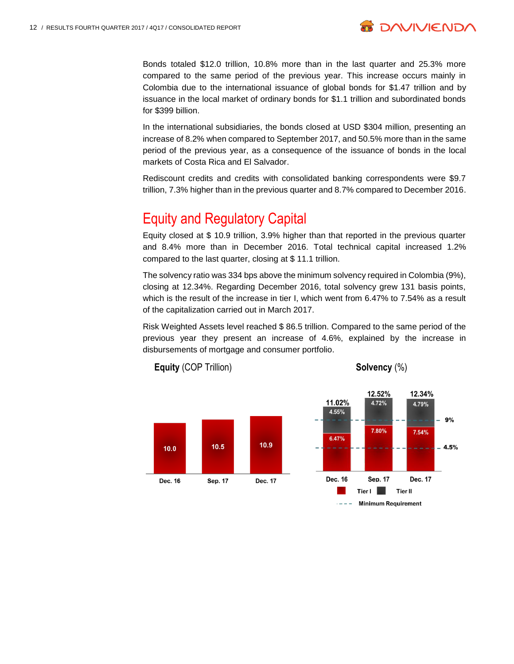

Bonds totaled \$12.0 trillion, 10.8% more than in the last quarter and 25.3% more compared to the same period of the previous year. This increase occurs mainly in Colombia due to the international issuance of global bonds for \$1.47 trillion and by issuance in the local market of ordinary bonds for \$1.1 trillion and subordinated bonds for \$399 billion.

In the international subsidiaries, the bonds closed at USD \$304 million, presenting an increase of 8.2% when compared to September 2017, and 50.5% more than in the same period of the previous year, as a consequence of the issuance of bonds in the local markets of Costa Rica and El Salvador.

Rediscount credits and credits with consolidated banking correspondents were \$9.7 trillion, 7.3% higher than in the previous quarter and 8.7% compared to December 2016.

## Equity and Regulatory Capital

Equity closed at \$ 10.9 trillion, 3.9% higher than that reported in the previous quarter and 8.4% more than in December 2016. Total technical capital increased 1.2% compared to the last quarter, closing at \$ 11.1 trillion.

The solvency ratio was 334 bps above the minimum solvency required in Colombia (9%), closing at 12.34%. Regarding December 2016, total solvency grew 131 basis points, which is the result of the increase in tier I, which went from 6.47% to 7.54% as a result of the capitalization carried out in March 2017.

Risk Weighted Assets level reached \$ 86.5 trillion. Compared to the same period of the previous year they present an increase of 4.6%, explained by the increase in disbursements of mortgage and consumer portfolio.





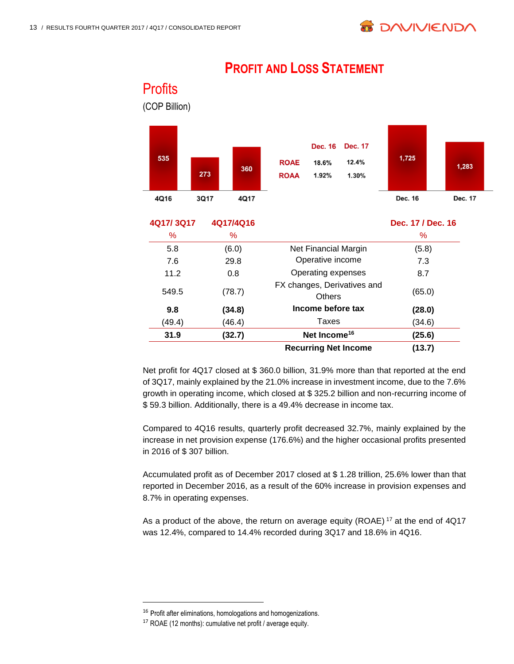**Profits** 

| (COP Billion) |      |               |                                              |                                  |                                  |                   |         |
|---------------|------|---------------|----------------------------------------------|----------------------------------|----------------------------------|-------------------|---------|
| 535           | 273  | 360           | <b>ROAE</b><br><b>ROAA</b>                   | <b>Dec. 16</b><br>18.6%<br>1.92% | <b>Dec. 17</b><br>12.4%<br>1.30% | 1,725             | 1,283   |
| 4Q16          | 3Q17 | 4Q17          |                                              |                                  |                                  | <b>Dec. 16</b>    | Dec. 17 |
| 4Q17/3Q17     |      | 4Q17/4Q16     |                                              |                                  |                                  | Dec. 17 / Dec. 16 |         |
| %             |      | %             |                                              |                                  |                                  | ℅                 |         |
| 5.8           |      | (6.0)         |                                              | Net Financial Margin             |                                  | (5.8)             |         |
| 7.6           |      | 29.8          | Operative income                             |                                  | 7.3                              |                   |         |
| 11.2          |      | 0.8           | Operating expenses                           |                                  | 8.7                              |                   |         |
| 549.5         |      | (78.7)        | FX changes, Derivatives and<br><b>Others</b> |                                  | (65.0)                           |                   |         |
|               |      | $\sim$ $\sim$ |                                              | المتماز مستملكهما المستمر مرسول  |                                  | $\sim$ $\sim$     |         |

## **PROFIT AND LOSS STATEMENT**

**9.8 (34.8) Income before tax (28.0)** (49.4) (46.4) Taxes (34.6) **31.9 (32.7) Net Income<sup>16</sup> (25.6) Recurring Net Income (13.7)**

Net profit for 4Q17 closed at \$ 360.0 billion, 31.9% more than that reported at the end of 3Q17, mainly explained by the 21.0% increase in investment income, due to the 7.6% growth in operating income, which closed at \$ 325.2 billion and non-recurring income of \$ 59.3 billion. Additionally, there is a 49.4% decrease in income tax.

Compared to 4Q16 results, quarterly profit decreased 32.7%, mainly explained by the increase in net provision expense (176.6%) and the higher occasional profits presented in 2016 of \$ 307 billion.

Accumulated profit as of December 2017 closed at \$ 1.28 trillion, 25.6% lower than that reported in December 2016, as a result of the 60% increase in provision expenses and 8.7% in operating expenses.

As a product of the above, the return on average equity (ROAE)<sup>17</sup> at the end of 4Q17 was 12.4%, compared to 14.4% recorded during 3Q17 and 18.6% in 4Q16.

l

<sup>16</sup> Profit after eliminations, homologations and homogenizations.

<sup>17</sup> ROAE (12 months): cumulative net profit / average equity.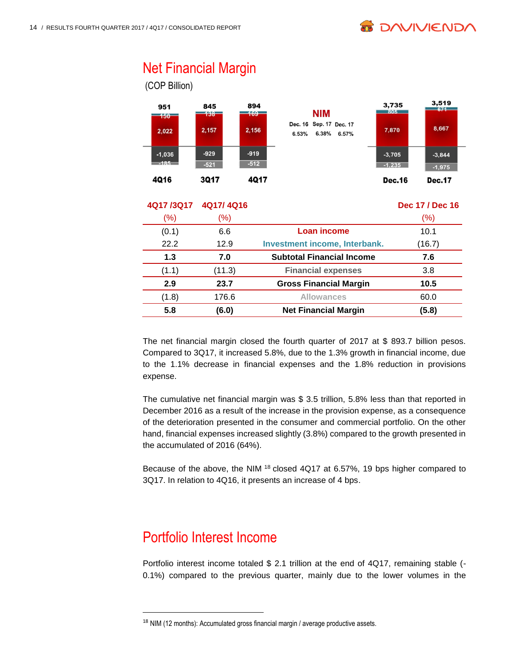

# Net Financial Margin

(COP Billion)



### **4Q17 /3Q17 4Q17/ 4Q16 Dec 17 / Dec 16**  $(\%)$  (%) (0.1) 6.6 **Loan income** 10.1 22.2 12.9 **Investment income, Interbank.** (16.7) **1.3 7.0 Subtotal Financial Income 7.6** (1.1) (11.3) **Financial expenses** 3.8 **2.9 23.7 Gross Financial Margin 10.5** (1.8) 176.6 **Allowances** 60.0 **5.8 (6.0) Net Financial Margin (5.8)**

The net financial margin closed the fourth quarter of 2017 at \$ 893.7 billion pesos. Compared to 3Q17, it increased 5.8%, due to the 1.3% growth in financial income, due to the 1.1% decrease in financial expenses and the 1.8% reduction in provisions expense.

The cumulative net financial margin was \$ 3.5 trillion, 5.8% less than that reported in December 2016 as a result of the increase in the provision expense, as a consequence of the deterioration presented in the consumer and commercial portfolio. On the other hand, financial expenses increased slightly (3.8%) compared to the growth presented in the accumulated of 2016 (64%).

Because of the above, the NIM <sup>18</sup> closed 4Q17 at 6.57%, 19 bps higher compared to 3Q17. In relation to 4Q16, it presents an increase of 4 bps.

# Portfolio Interest Income

l

Portfolio interest income totaled \$2.1 trillion at the end of 4Q17, remaining stable (-0.1%) compared to the previous quarter, mainly due to the lower volumes in the

<sup>&</sup>lt;sup>18</sup> NIM (12 months): Accumulated gross financial margin / average productive assets.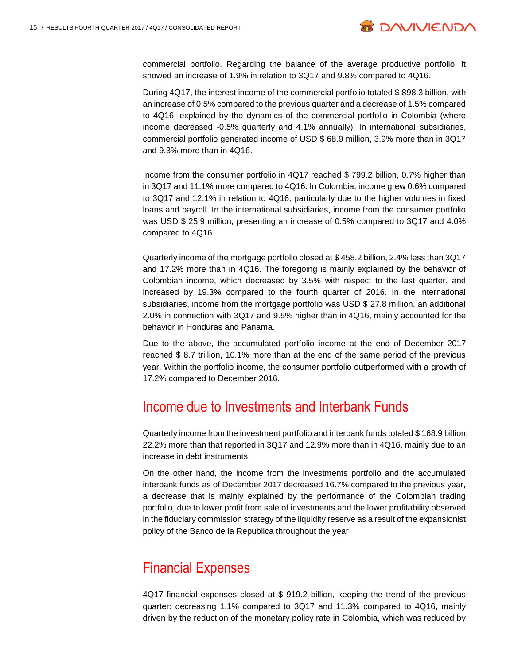

commercial portfolio. Regarding the balance of the average productive portfolio, it showed an increase of 1.9% in relation to 3Q17 and 9.8% compared to 4Q16.

During 4Q17, the interest income of the commercial portfolio totaled \$ 898.3 billion, with an increase of 0.5% compared to the previous quarter and a decrease of 1.5% compared to 4Q16, explained by the dynamics of the commercial portfolio in Colombia (where income decreased -0.5% quarterly and 4.1% annually). In international subsidiaries, commercial portfolio generated income of USD \$ 68.9 million, 3.9% more than in 3Q17 and 9.3% more than in 4Q16.

Income from the consumer portfolio in 4Q17 reached \$ 799.2 billion, 0.7% higher than in 3Q17 and 11.1% more compared to 4Q16. In Colombia, income grew 0.6% compared to 3Q17 and 12.1% in relation to 4Q16, particularly due to the higher volumes in fixed loans and payroll. In the international subsidiaries, income from the consumer portfolio was USD \$ 25.9 million, presenting an increase of 0.5% compared to 3Q17 and 4.0% compared to 4Q16.

Quarterly income of the mortgage portfolio closed at \$ 458.2 billion, 2.4% less than 3Q17 and 17.2% more than in 4Q16. The foregoing is mainly explained by the behavior of Colombian income, which decreased by 3.5% with respect to the last quarter, and increased by 19.3% compared to the fourth quarter of 2016. In the international subsidiaries, income from the mortgage portfolio was USD \$ 27.8 million, an additional 2.0% in connection with 3Q17 and 9.5% higher than in 4Q16, mainly accounted for the behavior in Honduras and Panama.

Due to the above, the accumulated portfolio income at the end of December 2017 reached \$ 8.7 trillion, 10.1% more than at the end of the same period of the previous year. Within the portfolio income, the consumer portfolio outperformed with a growth of 17.2% compared to December 2016.

## Income due to Investments and Interbank Funds

Quarterly income from the investment portfolio and interbank funds totaled \$ 168.9 billion, 22.2% more than that reported in 3Q17 and 12.9% more than in 4Q16, mainly due to an increase in debt instruments.

On the other hand, the income from the investments portfolio and the accumulated interbank funds as of December 2017 decreased 16.7% compared to the previous year, a decrease that is mainly explained by the performance of the Colombian trading portfolio, due to lower profit from sale of investments and the lower profitability observed in the fiduciary commission strategy of the liquidity reserve as a result of the expansionist policy of the Banco de la Republica throughout the year.

## Financial Expenses

4Q17 financial expenses closed at \$ 919.2 billion, keeping the trend of the previous quarter: decreasing 1.1% compared to 3Q17 and 11.3% compared to 4Q16, mainly driven by the reduction of the monetary policy rate in Colombia, which was reduced by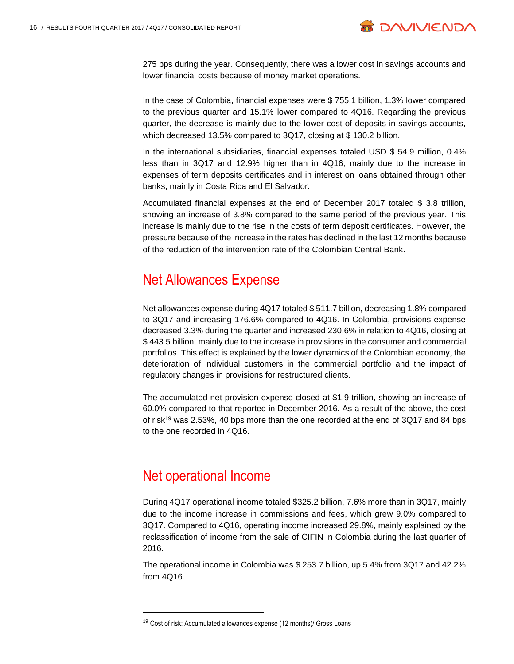

275 bps during the year. Consequently, there was a lower cost in savings accounts and lower financial costs because of money market operations.

In the case of Colombia, financial expenses were \$ 755.1 billion, 1.3% lower compared to the previous quarter and 15.1% lower compared to 4Q16. Regarding the previous quarter, the decrease is mainly due to the lower cost of deposits in savings accounts, which decreased 13.5% compared to 3Q17, closing at \$130.2 billion.

In the international subsidiaries, financial expenses totaled USD \$ 54.9 million, 0.4% less than in 3Q17 and 12.9% higher than in 4Q16, mainly due to the increase in expenses of term deposits certificates and in interest on loans obtained through other banks, mainly in Costa Rica and El Salvador.

Accumulated financial expenses at the end of December 2017 totaled \$ 3.8 trillion, showing an increase of 3.8% compared to the same period of the previous year. This increase is mainly due to the rise in the costs of term deposit certificates. However, the pressure because of the increase in the rates has declined in the last 12 months because of the reduction of the intervention rate of the Colombian Central Bank.

## Net Allowances Expense

Net allowances expense during 4Q17 totaled \$ 511.7 billion, decreasing 1.8% compared to 3Q17 and increasing 176.6% compared to 4Q16. In Colombia, provisions expense decreased 3.3% during the quarter and increased 230.6% in relation to 4Q16, closing at \$ 443.5 billion, mainly due to the increase in provisions in the consumer and commercial portfolios. This effect is explained by the lower dynamics of the Colombian economy, the deterioration of individual customers in the commercial portfolio and the impact of regulatory changes in provisions for restructured clients.

The accumulated net provision expense closed at \$1.9 trillion, showing an increase of 60.0% compared to that reported in December 2016. As a result of the above, the cost of risk<sup>19</sup> was 2.53%, 40 bps more than the one recorded at the end of 3Q17 and 84 bps to the one recorded in 4Q16.

## Net operational Income

l

During 4Q17 operational income totaled \$325.2 billion, 7.6% more than in 3Q17, mainly due to the income increase in commissions and fees, which grew 9.0% compared to 3Q17. Compared to 4Q16, operating income increased 29.8%, mainly explained by the reclassification of income from the sale of CIFIN in Colombia during the last quarter of 2016.

The operational income in Colombia was \$ 253.7 billion, up 5.4% from 3Q17 and 42.2% from 4Q16.

<sup>19</sup> Cost of risk: Accumulated allowances expense (12 months)/ Gross Loans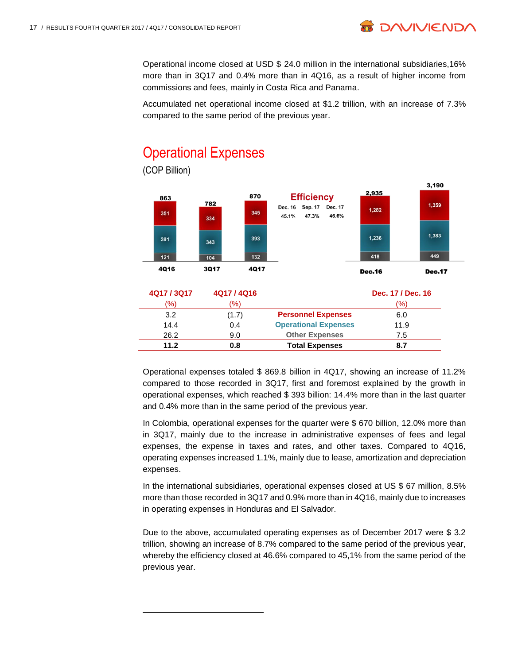Operational income closed at USD \$ 24.0 million in the international subsidiaries,16% more than in 3Q17 and 0.4% more than in 4Q16, as a result of higher income from commissions and fees, mainly in Costa Rica and Panama.

**B DAVIVIEND** 

Accumulated net operational income closed at \$1.2 trillion, with an increase of 7.3% compared to the same period of the previous year.



# **Operational Expenses**

l

Operational expenses totaled \$ 869.8 billion in 4Q17, showing an increase of 11.2% compared to those recorded in 3Q17, first and foremost explained by the growth in operational expenses, which reached \$ 393 billion: 14.4% more than in the last quarter and 0.4% more than in the same period of the previous year.

14.4 0.4 **Operational Expenses** 11.9 26.2 9.0 **Other Expenses** 7.5 **11.2 0.8 Total Expenses 8.7**

In Colombia, operational expenses for the quarter were \$ 670 billion, 12.0% more than in 3Q17, mainly due to the increase in administrative expenses of fees and legal expenses, the expense in taxes and rates, and other taxes. Compared to 4Q16, operating expenses increased 1.1%, mainly due to lease, amortization and depreciation expenses.

In the international subsidiaries, operational expenses closed at US \$ 67 million, 8.5% more than those recorded in 3Q17 and 0.9% more than in 4Q16, mainly due to increases in operating expenses in Honduras and El Salvador.

Due to the above, accumulated operating expenses as of December 2017 were \$ 3.2 trillion, showing an increase of 8.7% compared to the same period of the previous year, whereby the efficiency closed at 46.6% compared to 45,1% from the same period of the previous year.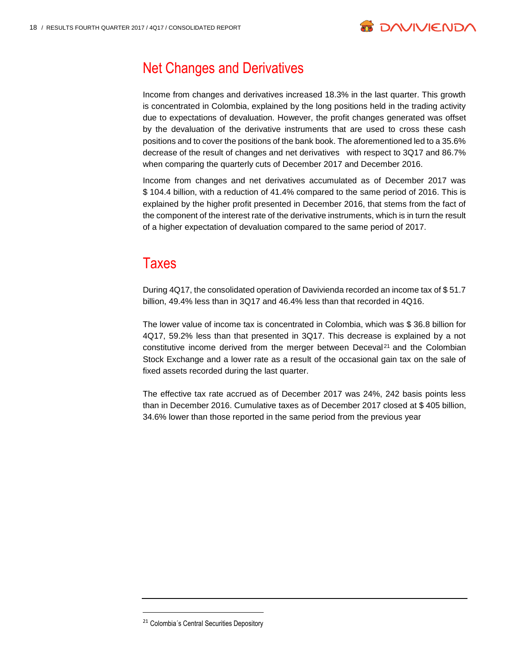

# Net Changes and Derivatives

Income from changes and derivatives increased 18.3% in the last quarter. This growth is concentrated in Colombia, explained by the long positions held in the trading activity due to expectations of devaluation. However, the profit changes generated was offset by the devaluation of the derivative instruments that are used to cross these cash positions and to cover the positions of the bank book. The aforementioned led to a 35.6% decrease of the result of changes and net derivatives with respect to 3Q17 and 86.7% when comparing the quarterly cuts of December 2017 and December 2016.

Income from changes and net derivatives accumulated as of December 2017 was \$ 104.4 billion, with a reduction of 41.4% compared to the same period of 2016. This is explained by the higher profit presented in December 2016, that stems from the fact of the component of the interest rate of the derivative instruments, which is in turn the result of a higher expectation of devaluation compared to the same period of 2017.

## **Taxes**

During 4Q17, the consolidated operation of Davivienda recorded an income tax of \$ 51.7 billion, 49.4% less than in 3Q17 and 46.4% less than that recorded in 4Q16.

The lower value of income tax is concentrated in Colombia, which was \$ 36.8 billion for 4Q17, 59.2% less than that presented in 3Q17. This decrease is explained by a not constitutive income derived from the merger between Deceval<sup>21</sup> and the Colombian Stock Exchange and a lower rate as a result of the occasional gain tax on the sale of fixed assets recorded during the last quarter.

The effective tax rate accrued as of December 2017 was 24%, 242 basis points less than in December 2016. Cumulative taxes as of December 2017 closed at \$ 405 billion, 34.6% lower than those reported in the same period from the previous year

l

<sup>&</sup>lt;sup>21</sup> Colombia's Central Securities Depository